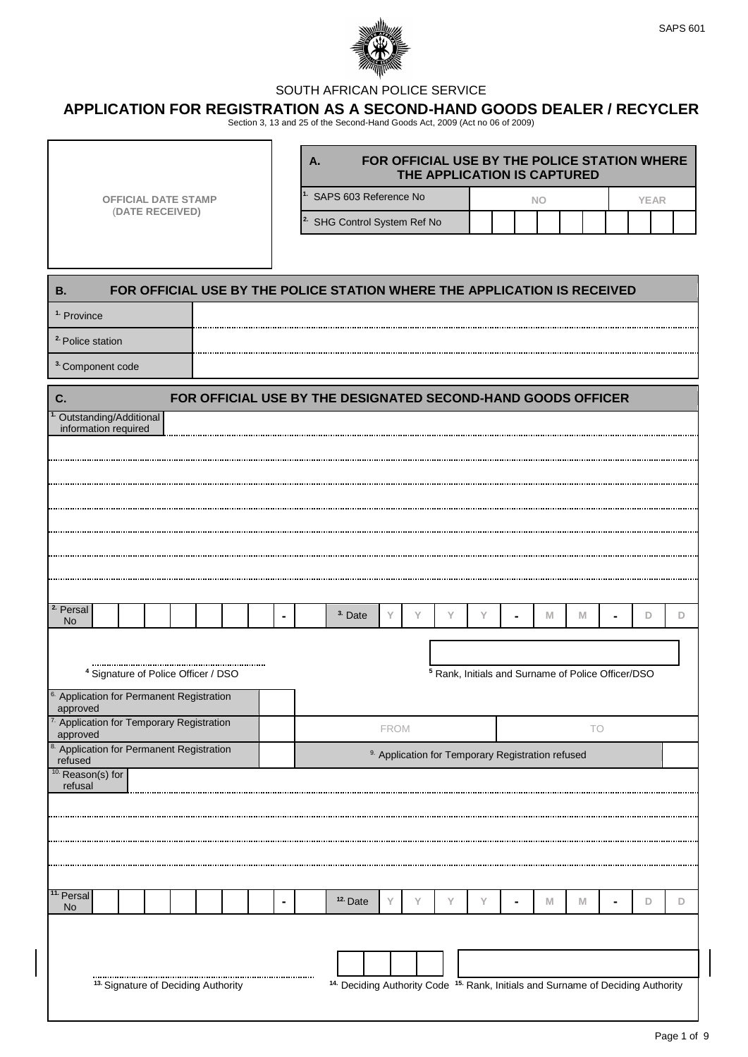

## SOUTH AFRICAN POLICE SERVICE

## **APPLICATION FOR REGISTRATION AS A SECOND-HAND GOODS DEALER / RECYCLER**

Section 3, 13 and 25 of the Second-Hand Goods Act, 2009 (Act no 06 of 2009)

|                                                                                       | A.                                      | FOR OFFICIAL USE BY THE POLICE STATION WHERE                                                           |   | THE APPLICATION IS CAPTURED                                   |     |    |             |   |
|---------------------------------------------------------------------------------------|-----------------------------------------|--------------------------------------------------------------------------------------------------------|---|---------------------------------------------------------------|-----|----|-------------|---|
| <b>OFFICIAL DATE STAMP</b><br>(DATE RECEIVED)                                         | <sup>1.</sup> SAPS 603 Reference No     |                                                                                                        |   |                                                               | NO. |    | <b>YEAR</b> |   |
|                                                                                       | <sup>2.</sup> SHG Control System Ref No |                                                                                                        |   |                                                               |     |    |             |   |
|                                                                                       |                                         |                                                                                                        |   |                                                               |     |    |             |   |
|                                                                                       |                                         |                                                                                                        |   |                                                               |     |    |             |   |
| FOR OFFICIAL USE BY THE POLICE STATION WHERE THE APPLICATION IS RECEIVED<br><b>B.</b> |                                         |                                                                                                        |   |                                                               |     |    |             |   |
| <sup>1.</sup> Province                                                                |                                         |                                                                                                        |   |                                                               |     |    |             |   |
| <sup>2</sup> Police station                                                           |                                         |                                                                                                        |   |                                                               |     |    |             |   |
| <sup>3</sup> Component code                                                           |                                         |                                                                                                        |   |                                                               |     |    |             |   |
| FOR OFFICIAL USE BY THE DESIGNATED SECOND-HAND GOODS OFFICER<br>C.                    |                                         |                                                                                                        |   |                                                               |     |    |             |   |
| Outstanding/Additional<br>information required                                        |                                         |                                                                                                        |   |                                                               |     |    |             |   |
|                                                                                       |                                         |                                                                                                        |   |                                                               |     |    |             |   |
|                                                                                       |                                         |                                                                                                        |   |                                                               |     |    |             |   |
|                                                                                       |                                         |                                                                                                        |   |                                                               |     |    |             |   |
|                                                                                       |                                         |                                                                                                        |   |                                                               |     |    |             |   |
|                                                                                       |                                         |                                                                                                        |   |                                                               |     |    |             |   |
|                                                                                       |                                         |                                                                                                        |   |                                                               |     |    |             |   |
|                                                                                       |                                         |                                                                                                        |   |                                                               |     |    |             |   |
| $2$ Persal<br><b>No</b>                                                               | <sup>3.</sup> Date                      | Υ<br>Υ                                                                                                 | Υ | Y                                                             | M   | M  | D           | D |
|                                                                                       |                                         |                                                                                                        |   |                                                               |     |    |             |   |
| <sup>4</sup> Signature of Police Officer / DSO                                        |                                         |                                                                                                        |   | <sup>5</sup> Rank, Initials and Surname of Police Officer/DSO |     |    |             |   |
| <sup>6</sup> Application for Permanent Registration                                   |                                         |                                                                                                        |   |                                                               |     |    |             |   |
| approved<br>Application for Temporary Registration                                    |                                         |                                                                                                        |   |                                                               |     |    |             |   |
| approved                                                                              |                                         | <b>FROM</b>                                                                                            |   |                                                               |     | TO |             |   |
| Application for Permanent Registration<br>refused                                     |                                         | <sup>9.</sup> Application for Temporary Registration refused                                           |   |                                                               |     |    |             |   |
| <sup>10.</sup> Reason(s) for<br>refusal                                               |                                         |                                                                                                        |   |                                                               |     |    |             |   |
|                                                                                       |                                         |                                                                                                        |   |                                                               |     |    |             |   |
|                                                                                       |                                         |                                                                                                        |   |                                                               |     |    |             |   |
|                                                                                       |                                         |                                                                                                        |   |                                                               |     |    |             |   |
|                                                                                       |                                         |                                                                                                        |   |                                                               |     |    |             |   |
| <sup>11.</sup> Persal<br><b>No</b>                                                    | <sup>12</sup> Date                      | Υ<br>Υ                                                                                                 | Υ | Υ                                                             | M   | M  | D           | D |
|                                                                                       | $\blacksquare$                          |                                                                                                        |   |                                                               |     |    |             |   |
|                                                                                       |                                         |                                                                                                        |   |                                                               |     |    |             |   |
|                                                                                       |                                         |                                                                                                        |   |                                                               |     |    |             |   |
| <sup>13.</sup> Signature of Deciding Authority                                        |                                         | <sup>14.</sup> Deciding Authority Code <sup>15.</sup> Rank, Initials and Surname of Deciding Authority |   |                                                               |     |    |             |   |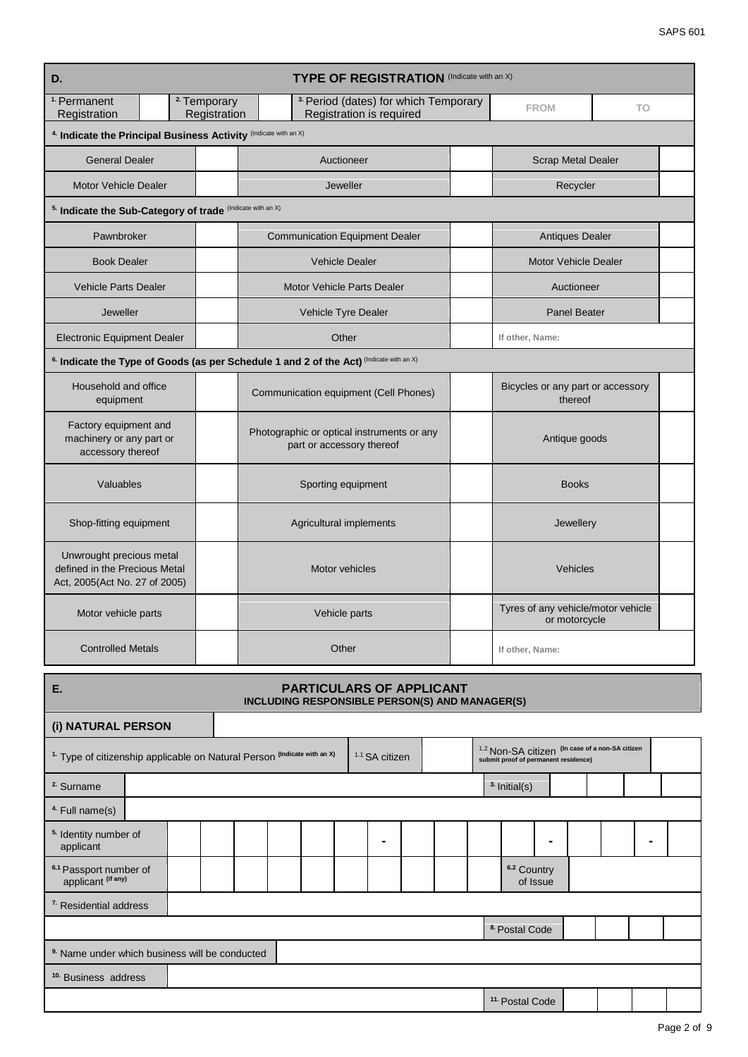| D.                                                                                         |                                        | <b>TYPE OF REGISTRATION</b> (Indicate with an X)                                        |                                                     |                |  |
|--------------------------------------------------------------------------------------------|----------------------------------------|-----------------------------------------------------------------------------------------|-----------------------------------------------------|----------------|--|
| <sup>1.</sup> Permanent<br>Registration                                                    | <sup>2</sup> Temporary<br>Registration | <sup>3.</sup> Period (dates) for which Temporary<br>Registration is required            | <b>FROM</b>                                         | T <sub>O</sub> |  |
| 4. Indicate the Principal Business Activity (Indicate with an X)                           |                                        |                                                                                         |                                                     |                |  |
| <b>General Dealer</b>                                                                      |                                        | Auctioneer                                                                              | <b>Scrap Metal Dealer</b>                           |                |  |
| <b>Motor Vehicle Dealer</b>                                                                |                                        | Jeweller                                                                                | Recycler                                            |                |  |
| 5. Indicate the Sub-Category of trade (Indicate with an X)                                 |                                        |                                                                                         |                                                     |                |  |
| Pawnbroker                                                                                 |                                        | <b>Communication Equipment Dealer</b>                                                   | <b>Antiques Dealer</b>                              |                |  |
| <b>Book Dealer</b>                                                                         |                                        | <b>Vehicle Dealer</b>                                                                   | <b>Motor Vehicle Dealer</b>                         |                |  |
| <b>Vehicle Parts Dealer</b>                                                                |                                        | Motor Vehicle Parts Dealer                                                              | Auctioneer                                          |                |  |
| Jeweller                                                                                   |                                        | Vehicle Tyre Dealer                                                                     | <b>Panel Beater</b>                                 |                |  |
| <b>Electronic Equipment Dealer</b>                                                         |                                        | Other                                                                                   | If other, Name:                                     |                |  |
|                                                                                            |                                        | 6. Indicate the Type of Goods (as per Schedule 1 and 2 of the Act) (Indicate with an X) |                                                     |                |  |
| Household and office<br>equipment                                                          |                                        | Communication equipment (Cell Phones)                                                   | Bicycles or any part or accessory<br>thereof        |                |  |
| Factory equipment and<br>machinery or any part or<br>accessory thereof                     |                                        | Photographic or optical instruments or any<br>part or accessory thereof                 | Antique goods                                       |                |  |
| Valuables                                                                                  |                                        | Sporting equipment                                                                      | <b>Books</b>                                        |                |  |
| Shop-fitting equipment                                                                     |                                        | Agricultural implements                                                                 | Jewellery                                           |                |  |
| Unwrought precious metal<br>defined in the Precious Metal<br>Act, 2005(Act No. 27 of 2005) |                                        | Motor vehicles                                                                          | Vehicles                                            |                |  |
| Motor vehicle parts                                                                        |                                        | Vehicle parts                                                                           | Tyres of any vehicle/motor vehicle<br>or motorcycle |                |  |
| <b>Controlled Metals</b>                                                                   |                                        | Other                                                                                   | If other, Name:                                     |                |  |

| Е.                                                                                  |  |  | <b>PARTICULARS OF APPLICANT</b><br>INCLUDING RESPONSIBLE PERSON(S) AND MANAGER(S) |                           |  |                                                                                                    |                |  |  |  |
|-------------------------------------------------------------------------------------|--|--|-----------------------------------------------------------------------------------|---------------------------|--|----------------------------------------------------------------------------------------------------|----------------|--|--|--|
| (i) NATURAL PERSON                                                                  |  |  |                                                                                   |                           |  |                                                                                                    |                |  |  |  |
| <sup>1.</sup> Type of citizenship applicable on Natural Person (Indicate with an X) |  |  |                                                                                   | <sup>1.1</sup> SA citizen |  | <sup>1.2</sup> Non-SA citizen (In case of a non-SA citizen<br>submit proof of permanent residence) |                |  |  |  |
| <sup>2.</sup> Surname                                                               |  |  |                                                                                   |                           |  | <sup>3.</sup> Initial(s)                                                                           |                |  |  |  |
| <sup>4</sup> Full name(s)                                                           |  |  |                                                                                   |                           |  |                                                                                                    |                |  |  |  |
| <sup>5.</sup> Identity number of<br>applicant                                       |  |  |                                                                                   | $\blacksquare$            |  |                                                                                                    | $\blacksquare$ |  |  |  |
| 6.1 Passport number of<br>applicant (if any)                                        |  |  |                                                                                   |                           |  | 6.2 Country                                                                                        | of Issue       |  |  |  |
| <sup>7</sup> Residential address                                                    |  |  |                                                                                   |                           |  |                                                                                                    |                |  |  |  |
|                                                                                     |  |  |                                                                                   |                           |  | <sup>8.</sup> Postal Code                                                                          |                |  |  |  |
| <sup>9.</sup> Name under which business will be conducted                           |  |  |                                                                                   |                           |  |                                                                                                    |                |  |  |  |
| <sup>10.</sup> Business address                                                     |  |  |                                                                                   |                           |  |                                                                                                    |                |  |  |  |
|                                                                                     |  |  |                                                                                   |                           |  | <sup>11.</sup> Postal Code                                                                         |                |  |  |  |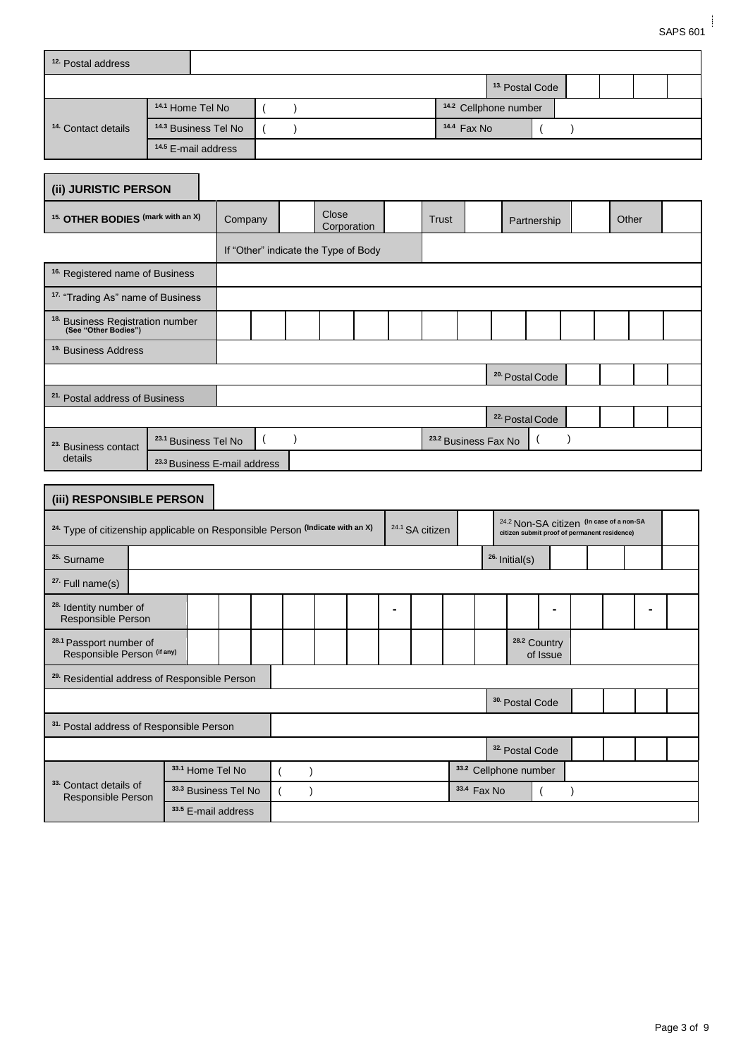| <sup>12</sup> Postal address  |                                 |                                  |                           |  |  |  |
|-------------------------------|---------------------------------|----------------------------------|---------------------------|--|--|--|
|                               |                                 |                                  | <sup>13</sup> Postal Code |  |  |  |
|                               | <sup>14.1</sup> Home Tel No     | <sup>14.2</sup> Cellphone number |                           |  |  |  |
| <sup>14</sup> Contact details | <sup>14.3</sup> Business Tel No | $14.4$ Fax No                    |                           |  |  |  |
|                               | <sup>14.5</sup> E-mail address  |                                  |                           |  |  |  |
| (ii) JURISTIC PERSON          |                                 |                                  |                           |  |  |  |

| <sup>15.</sup> OTHER BODIES (mark with an X)                        |                                 | Company                              | Close<br>Corporation |  | <b>Trust</b> |                                 | Partnership                |  | Other |  |
|---------------------------------------------------------------------|---------------------------------|--------------------------------------|----------------------|--|--------------|---------------------------------|----------------------------|--|-------|--|
|                                                                     |                                 | If "Other" indicate the Type of Body |                      |  |              |                                 |                            |  |       |  |
| <sup>16.</sup> Registered name of Business                          |                                 |                                      |                      |  |              |                                 |                            |  |       |  |
| <sup>17.</sup> "Trading As" name of Business                        |                                 |                                      |                      |  |              |                                 |                            |  |       |  |
| <sup>18.</sup> Business Registration number<br>(See "Other Bodies") |                                 |                                      |                      |  |              |                                 |                            |  |       |  |
| <sup>19.</sup> Business Address                                     |                                 |                                      |                      |  |              |                                 |                            |  |       |  |
|                                                                     |                                 |                                      |                      |  |              |                                 | <sup>20.</sup> Postal Code |  |       |  |
| <sup>21.</sup> Postal address of Business                           |                                 |                                      |                      |  |              |                                 |                            |  |       |  |
|                                                                     |                                 |                                      |                      |  |              |                                 | <sup>22.</sup> Postal Code |  |       |  |
| <sup>23.</sup> Business contact                                     | <sup>23.1</sup> Business Tel No |                                      |                      |  |              | <sup>23.2</sup> Business Fax No |                            |  |       |  |
| details                                                             | 23.3 Business E-mail address    |                                      |                      |  |              |                                 |                            |  |       |  |

| (iii) RESPONSIBLE PERSON                                                                 |                      |  |  |  |                            |              |                                                                                          |          |  |  |
|------------------------------------------------------------------------------------------|----------------------|--|--|--|----------------------------|--------------|------------------------------------------------------------------------------------------|----------|--|--|
| <sup>24.</sup> Type of citizenship applicable on Responsible Person (Indicate with an X) |                      |  |  |  | <sup>24.1</sup> SA citizen |              | 24.2 Non-SA citizen (In case of a non-SA<br>citizen submit proof of permanent residence) |          |  |  |
| <sup>25.</sup> Surname                                                                   |                      |  |  |  |                            |              | <sup>26.</sup> Initial(s)                                                                |          |  |  |
| $27.$ Full name(s)                                                                       |                      |  |  |  |                            |              |                                                                                          |          |  |  |
| <sup>28.</sup> Identity number of<br>Responsible Person                                  |                      |  |  |  |                            |              |                                                                                          |          |  |  |
| <sup>28.1</sup> Passport number of<br>Responsible Person (if any)                        |                      |  |  |  |                            |              | <sup>28.2</sup> Country                                                                  | of Issue |  |  |
| <sup>29.</sup> Residential address of Responsible Person                                 |                      |  |  |  |                            |              |                                                                                          |          |  |  |
|                                                                                          |                      |  |  |  |                            |              | <sup>30.</sup> Postal Code                                                               |          |  |  |
| 31. Postal address of Responsible Person                                                 |                      |  |  |  |                            |              |                                                                                          |          |  |  |
|                                                                                          |                      |  |  |  |                            |              | <sup>32.</sup> Postal Code                                                               |          |  |  |
|                                                                                          | 33.1 Home Tel No     |  |  |  |                            |              | 33.2 Cellphone number                                                                    |          |  |  |
| 33. Contact details of<br>Responsible Person                                             | 33.3 Business Tel No |  |  |  |                            | 33.4 Fax No. |                                                                                          |          |  |  |
|                                                                                          | 33.5 E-mail address  |  |  |  |                            |              |                                                                                          |          |  |  |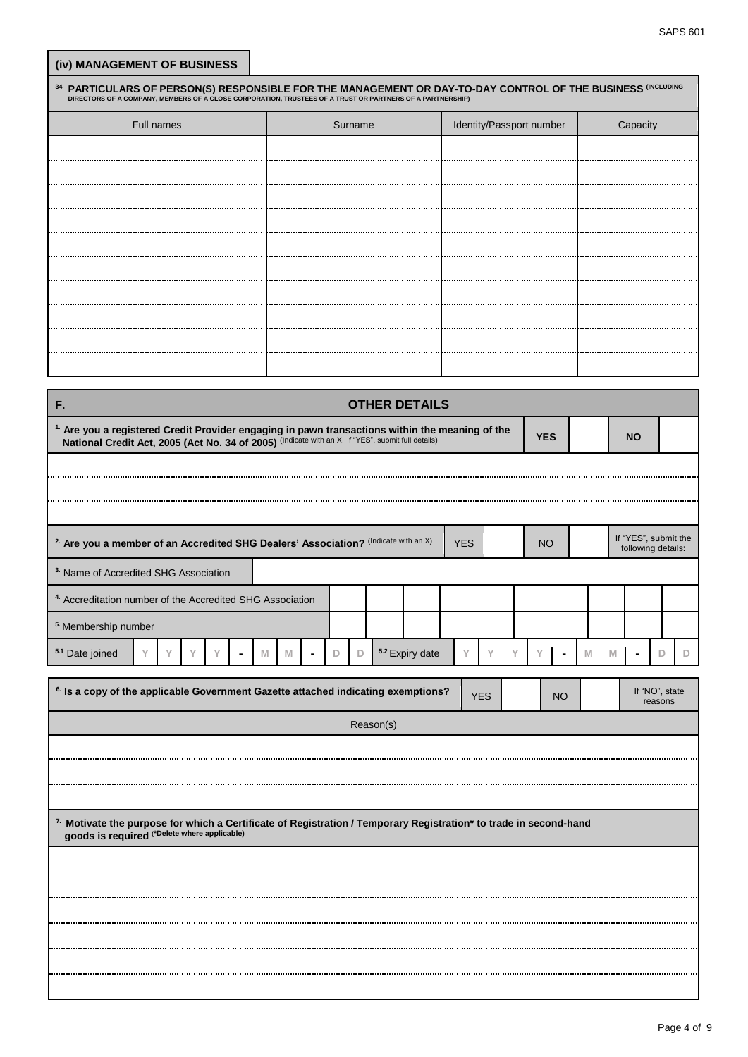| (iv) MANAGEMENT OF BUSINESS                                                                                                                                                                                                       |            |        |                |                  |                |             |           |                      |                          |   |   |            |                |   |           |                                            |   |   |
|-----------------------------------------------------------------------------------------------------------------------------------------------------------------------------------------------------------------------------------|------------|--------|----------------|------------------|----------------|-------------|-----------|----------------------|--------------------------|---|---|------------|----------------|---|-----------|--------------------------------------------|---|---|
| <sup>34</sup> PARTICULARS OF PERSON(S) RESPONSIBLE FOR THE MANAGEMENT OR DAY-TO-DAY CONTROL OF THE BUSINESS (INCLUDING DIRECTORS OF A COMPANY, MEMBERS OF A CLOSE CORPORATION, TRUSTEES OF A TATUST OR PARTNERS OF A PARTNERSHIP) |            |        |                |                  |                |             |           |                      |                          |   |   |            |                |   |           |                                            |   |   |
|                                                                                                                                                                                                                                   | Full names |        |                |                  |                | Surname     |           |                      | Identity/Passport number |   |   |            |                |   |           | Capacity                                   |   |   |
|                                                                                                                                                                                                                                   |            |        |                |                  |                |             |           |                      |                          |   |   |            |                |   |           |                                            |   |   |
|                                                                                                                                                                                                                                   |            |        |                |                  |                |             |           |                      |                          |   |   |            |                |   |           |                                            |   |   |
|                                                                                                                                                                                                                                   |            |        |                |                  |                |             |           |                      |                          |   |   |            |                |   |           |                                            |   |   |
|                                                                                                                                                                                                                                   |            |        |                |                  |                |             |           |                      |                          |   |   |            |                |   |           |                                            |   |   |
|                                                                                                                                                                                                                                   |            |        |                |                  |                |             |           |                      |                          |   |   |            |                |   |           |                                            |   |   |
|                                                                                                                                                                                                                                   |            |        |                |                  |                |             |           |                      |                          |   |   |            |                |   |           |                                            |   |   |
|                                                                                                                                                                                                                                   |            |        |                |                  |                |             |           |                      |                          |   |   |            |                |   |           |                                            |   |   |
|                                                                                                                                                                                                                                   |            |        |                |                  |                |             |           |                      |                          |   |   |            |                |   |           |                                            |   |   |
|                                                                                                                                                                                                                                   |            |        |                |                  |                |             |           |                      |                          |   |   |            |                |   |           |                                            |   |   |
|                                                                                                                                                                                                                                   |            |        |                |                  |                |             |           |                      |                          |   |   |            |                |   |           |                                            |   |   |
| F.                                                                                                                                                                                                                                |            |        |                |                  |                |             |           | <b>OTHER DETAILS</b> |                          |   |   |            |                |   |           |                                            |   |   |
| <sup>1</sup> Are you a registered Credit Provider engaging in pawn transactions within the meaning of the National Credit Act, 2005 (Act No. 34 of 2005) (Indicate with an X. If "YES", submit full details)                      |            |        |                |                  |                |             |           |                      |                          |   |   | <b>YES</b> |                |   |           |                                            |   |   |
|                                                                                                                                                                                                                                   |            |        |                |                  |                |             |           |                      |                          |   |   |            |                |   | <b>NO</b> |                                            |   |   |
|                                                                                                                                                                                                                                   |            |        |                |                  |                |             |           |                      |                          |   |   |            |                |   |           |                                            |   |   |
|                                                                                                                                                                                                                                   |            |        |                |                  |                |             |           |                      |                          |   |   |            |                |   |           |                                            |   |   |
|                                                                                                                                                                                                                                   |            |        |                |                  |                |             |           |                      |                          |   |   |            |                |   |           |                                            |   |   |
| <sup>2</sup> Are you a member of an Accredited SHG Dealers' Association? (Indicate with an X)                                                                                                                                     |            |        |                |                  |                |             |           |                      | <b>YES</b>               |   |   | <b>NO</b>  |                |   |           | If "YES", submit the<br>following details: |   |   |
| <sup>3.</sup> Name of Accredited SHG Association                                                                                                                                                                                  |            |        |                |                  |                |             |           |                      |                          |   |   |            |                |   |           |                                            |   |   |
| <sup>4.</sup> Accreditation number of the Accredited SHG Association                                                                                                                                                              |            |        |                |                  |                |             |           |                      |                          |   |   |            |                |   |           |                                            |   |   |
| <sup>5.</sup> Membership number                                                                                                                                                                                                   |            |        |                |                  |                |             |           |                      |                          |   |   |            |                |   |           |                                            |   |   |
| 5.1 Date joined                                                                                                                                                                                                                   | Y<br>Y     | Y<br>Y | $\blacksquare$ | $\mathbb M$<br>M | $\blacksquare$ | D<br>$\Box$ |           | 5.2 Expiry date      | Y                        | Y | Y | Υ          | $\blacksquare$ | M | M         | $\blacksquare$                             | D | D |
|                                                                                                                                                                                                                                   |            |        |                |                  |                |             |           |                      |                          |   |   |            |                |   |           |                                            |   |   |
| <sup>6.</sup> Is a copy of the applicable Government Gazette attached indicating exemptions?                                                                                                                                      |            |        |                |                  |                |             |           |                      | <b>YES</b>               |   |   |            | <b>NO</b>      |   |           | If "NO", state<br>reasons                  |   |   |
|                                                                                                                                                                                                                                   |            |        |                |                  |                |             | Reason(s) |                      |                          |   |   |            |                |   |           |                                            |   |   |
|                                                                                                                                                                                                                                   |            |        |                |                  |                |             |           |                      |                          |   |   |            |                |   |           |                                            |   |   |
|                                                                                                                                                                                                                                   |            |        |                |                  |                |             |           |                      |                          |   |   |            |                |   |           |                                            |   |   |
|                                                                                                                                                                                                                                   |            |        |                |                  |                |             |           |                      |                          |   |   |            |                |   |           |                                            |   |   |
| 7. Motivate the purpose for which a Certificate of Registration / Temporary Registration* to trade in second-hand                                                                                                                 |            |        |                |                  |                |             |           |                      |                          |   |   |            |                |   |           |                                            |   |   |
| goods is required (*Delete where applicable)                                                                                                                                                                                      |            |        |                |                  |                |             |           |                      |                          |   |   |            |                |   |           |                                            |   |   |
|                                                                                                                                                                                                                                   |            |        |                |                  |                |             |           |                      |                          |   |   |            |                |   |           |                                            |   |   |
|                                                                                                                                                                                                                                   |            |        |                |                  |                |             |           |                      |                          |   |   |            |                |   |           |                                            |   |   |
|                                                                                                                                                                                                                                   |            |        |                |                  |                |             |           |                      |                          |   |   |            |                |   |           |                                            |   |   |
|                                                                                                                                                                                                                                   |            |        |                |                  |                |             |           |                      |                          |   |   |            |                |   |           |                                            |   |   |
|                                                                                                                                                                                                                                   |            |        |                |                  |                |             |           |                      |                          |   |   |            |                |   |           |                                            |   |   |
|                                                                                                                                                                                                                                   |            |        |                |                  |                |             |           |                      |                          |   |   |            |                |   |           |                                            |   |   |
|                                                                                                                                                                                                                                   |            |        |                |                  |                |             |           |                      |                          |   |   |            |                |   |           |                                            |   |   |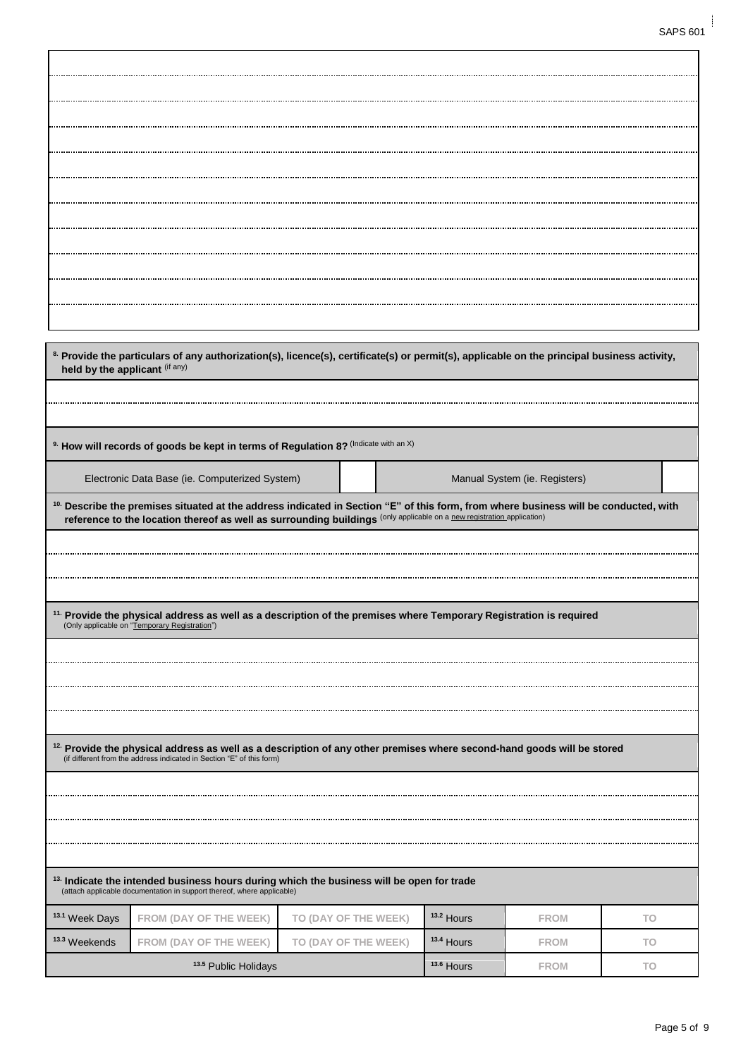| held by the applicant (if any) |                                                                                                                                                                                                                                                                                                                             |                      |            |                               |     |
|--------------------------------|-----------------------------------------------------------------------------------------------------------------------------------------------------------------------------------------------------------------------------------------------------------------------------------------------------------------------------|----------------------|------------|-------------------------------|-----|
|                                | <sup>9.</sup> How will records of goods be kept in terms of Regulation 8? (Indicate with an X)                                                                                                                                                                                                                              |                      |            |                               |     |
|                                |                                                                                                                                                                                                                                                                                                                             |                      |            |                               |     |
|                                | Electronic Data Base (ie. Computerized System)<br><sup>10.</sup> Describe the premises situated at the address indicated in Section "E" of this form, from where business will be conducted, with<br>reference to the location thereof as well as surrounding buildings (only applicable on a new registration application) |                      |            | Manual System (ie. Registers) |     |
|                                |                                                                                                                                                                                                                                                                                                                             |                      |            |                               |     |
|                                | <sup>11.</sup> Provide the physical address as well as a description of the premises where Temporary Registration is required<br>(Only applicable on "Temporary Registration")                                                                                                                                              |                      |            |                               |     |
|                                |                                                                                                                                                                                                                                                                                                                             |                      |            |                               |     |
|                                |                                                                                                                                                                                                                                                                                                                             |                      |            |                               |     |
|                                |                                                                                                                                                                                                                                                                                                                             |                      |            |                               |     |
|                                |                                                                                                                                                                                                                                                                                                                             |                      |            |                               |     |
|                                | <sup>12.</sup> Provide the physical address as well as a description of any other premises where second-hand goods will be stored<br>(if different from the address indicated in Section "E" of this form)                                                                                                                  |                      |            |                               |     |
|                                |                                                                                                                                                                                                                                                                                                                             |                      |            |                               |     |
|                                |                                                                                                                                                                                                                                                                                                                             |                      |            |                               |     |
|                                |                                                                                                                                                                                                                                                                                                                             |                      |            |                               |     |
|                                |                                                                                                                                                                                                                                                                                                                             |                      |            |                               |     |
|                                | <sup>13.</sup> Indicate the intended business hours during which the business will be open for trade<br>(attach applicable documentation in support thereof, where applicable)                                                                                                                                              |                      |            |                               |     |
| <sup>13.1</sup> Week Days      | FROM (DAY OF THE WEEK)                                                                                                                                                                                                                                                                                                      | TO (DAY OF THE WEEK) | 13.2 Hours | <b>FROM</b>                   | TO. |
| <sup>13.3</sup> Weekends       | FROM (DAY OF THE WEEK)                                                                                                                                                                                                                                                                                                      | TO (DAY OF THE WEEK) | 13.4 Hours | <b>FROM</b>                   | TO. |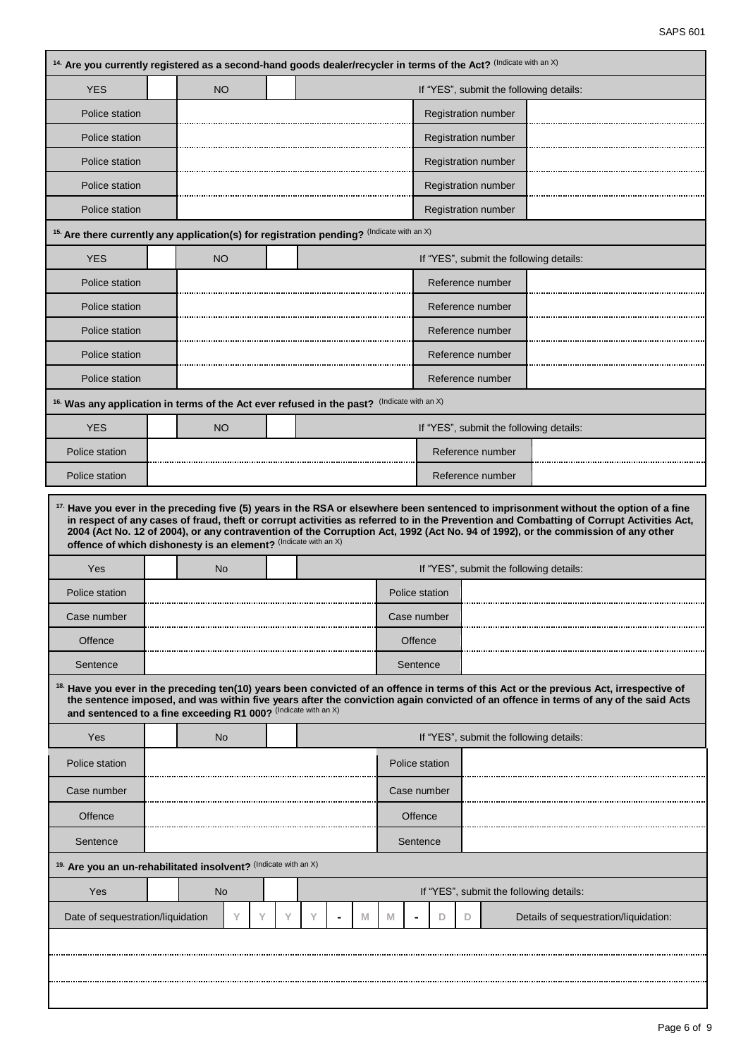| 14. Are you currently registered as a second-hand goods dealer/recycler in terms of the Act? (Indicate with an X) |           |   |   |   |   |                      |                |   |                                         |                                                                                                                                                                                                                                                                                                                                                                                                                                  |
|-------------------------------------------------------------------------------------------------------------------|-----------|---|---|---|---|----------------------|----------------|---|-----------------------------------------|----------------------------------------------------------------------------------------------------------------------------------------------------------------------------------------------------------------------------------------------------------------------------------------------------------------------------------------------------------------------------------------------------------------------------------|
| <b>YES</b>                                                                                                        | <b>NO</b> |   |   |   |   |                      |                |   | If "YES", submit the following details: |                                                                                                                                                                                                                                                                                                                                                                                                                                  |
| Police station                                                                                                    |           |   |   |   |   |                      |                |   | Registration number                     |                                                                                                                                                                                                                                                                                                                                                                                                                                  |
| Police station                                                                                                    |           |   |   |   |   |                      |                |   | <b>Registration number</b>              |                                                                                                                                                                                                                                                                                                                                                                                                                                  |
| Police station                                                                                                    |           |   |   |   |   |                      |                |   | Registration number                     |                                                                                                                                                                                                                                                                                                                                                                                                                                  |
| Police station                                                                                                    |           |   |   |   |   |                      |                |   | <b>Registration number</b>              |                                                                                                                                                                                                                                                                                                                                                                                                                                  |
| Police station                                                                                                    |           |   |   |   |   |                      |                |   | <b>Registration number</b>              |                                                                                                                                                                                                                                                                                                                                                                                                                                  |
| 15. Are there currently any application(s) for registration pending? (Indicate with an X)                         |           |   |   |   |   |                      |                |   |                                         |                                                                                                                                                                                                                                                                                                                                                                                                                                  |
| <b>YES</b>                                                                                                        | <b>NO</b> |   |   |   |   |                      |                |   | If "YES", submit the following details: |                                                                                                                                                                                                                                                                                                                                                                                                                                  |
| Police station                                                                                                    |           |   |   |   |   |                      |                |   | Reference number                        |                                                                                                                                                                                                                                                                                                                                                                                                                                  |
| Police station                                                                                                    |           |   |   |   |   |                      |                |   | Reference number                        |                                                                                                                                                                                                                                                                                                                                                                                                                                  |
| Police station                                                                                                    |           |   |   |   |   |                      |                |   | Reference number                        |                                                                                                                                                                                                                                                                                                                                                                                                                                  |
| Police station                                                                                                    |           |   |   |   |   |                      |                |   | Reference number                        |                                                                                                                                                                                                                                                                                                                                                                                                                                  |
| Police station                                                                                                    |           |   |   |   |   |                      |                |   | Reference number                        |                                                                                                                                                                                                                                                                                                                                                                                                                                  |
| <sup>16.</sup> Was any application in terms of the Act ever refused in the past?                                  |           |   |   |   |   | (Indicate with an X) |                |   |                                         |                                                                                                                                                                                                                                                                                                                                                                                                                                  |
|                                                                                                                   | <b>NO</b> |   |   |   |   |                      |                |   | If "YES", submit the following details: |                                                                                                                                                                                                                                                                                                                                                                                                                                  |
| <b>YES</b>                                                                                                        |           |   |   |   |   |                      |                |   | Reference number                        |                                                                                                                                                                                                                                                                                                                                                                                                                                  |
| Police station                                                                                                    |           |   |   |   |   |                      |                |   |                                         |                                                                                                                                                                                                                                                                                                                                                                                                                                  |
| Police station<br>offence of which dishonesty is an element? (Indicate with an X)                                 |           |   |   |   |   |                      |                |   | Reference number                        | <sup>17.</sup> Have you ever in the preceding five (5) years in the RSA or elsewhere been sentenced to imprisonment without the option of a fine<br>in respect of any cases of fraud, theft or corrupt activities as referred to in the Prevention and Combatting of Corrupt Activities Act,<br>2004 (Act No. 12 of 2004), or any contravention of the Corruption Act, 1992 (Act No. 94 of 1992), or the commission of any other |
| Yes                                                                                                               | <b>No</b> |   |   |   |   |                      |                |   | If "YES", submit the following details: |                                                                                                                                                                                                                                                                                                                                                                                                                                  |
| Police station                                                                                                    |           |   |   |   |   |                      | Police station |   |                                         |                                                                                                                                                                                                                                                                                                                                                                                                                                  |
| Case number                                                                                                       |           |   |   |   |   |                      | Case number    |   |                                         |                                                                                                                                                                                                                                                                                                                                                                                                                                  |
| Offence                                                                                                           |           |   |   |   |   |                      | Offence        |   |                                         |                                                                                                                                                                                                                                                                                                                                                                                                                                  |
| Sentence                                                                                                          |           |   |   |   |   |                      | Sentence       |   |                                         |                                                                                                                                                                                                                                                                                                                                                                                                                                  |
| and sentenced to a fine exceeding R1 000? (Indicate with an X)                                                    |           |   |   |   |   |                      |                |   |                                         | <sup>18.</sup> Have you ever in the preceding ten(10) years been convicted of an offence in terms of this Act or the previous Act, irrespective of<br>the sentence imposed, and was within five years after the conviction again convicted of an offence in terms of any of the said Acts                                                                                                                                        |
| <b>Yes</b>                                                                                                        | <b>No</b> |   |   |   |   |                      |                |   | If "YES", submit the following details: |                                                                                                                                                                                                                                                                                                                                                                                                                                  |
| Police station                                                                                                    |           |   |   |   |   |                      | Police station |   |                                         |                                                                                                                                                                                                                                                                                                                                                                                                                                  |
| Case number                                                                                                       |           |   |   |   |   |                      | Case number    |   |                                         |                                                                                                                                                                                                                                                                                                                                                                                                                                  |
| Offence                                                                                                           |           |   |   |   |   |                      | Offence        |   |                                         |                                                                                                                                                                                                                                                                                                                                                                                                                                  |
| Sentence                                                                                                          |           |   |   |   |   |                      | Sentence       |   |                                         |                                                                                                                                                                                                                                                                                                                                                                                                                                  |
|                                                                                                                   |           |   |   |   |   |                      |                |   |                                         |                                                                                                                                                                                                                                                                                                                                                                                                                                  |
| Yes                                                                                                               | No        |   |   |   |   |                      |                |   | If "YES", submit the following details: |                                                                                                                                                                                                                                                                                                                                                                                                                                  |
| 19. Are you an un-rehabilitated insolvent? (Indicate with an X)<br>Date of sequestration/liquidation              |           | Y | Υ | Υ | M | M                    |                | D | D                                       | Details of sequestration/liquidation:                                                                                                                                                                                                                                                                                                                                                                                            |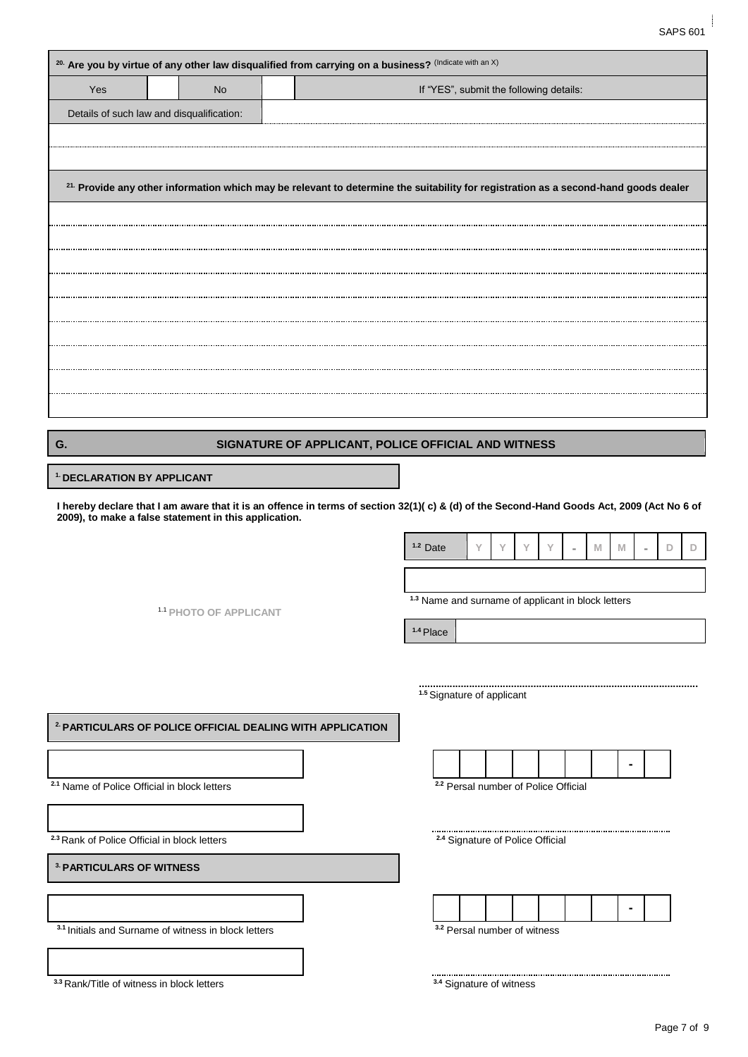| Yes                                                                                            | <b>No</b>                                                            | If "YES", submit the following details:                                                                                             |
|------------------------------------------------------------------------------------------------|----------------------------------------------------------------------|-------------------------------------------------------------------------------------------------------------------------------------|
|                                                                                                | Details of such law and disqualification:                            |                                                                                                                                     |
|                                                                                                |                                                                      |                                                                                                                                     |
|                                                                                                |                                                                      |                                                                                                                                     |
|                                                                                                |                                                                      | 21. Provide any other information which may be relevant to determine the suitability for registration as a second-hand goods dealer |
|                                                                                                |                                                                      |                                                                                                                                     |
|                                                                                                |                                                                      |                                                                                                                                     |
|                                                                                                |                                                                      |                                                                                                                                     |
|                                                                                                |                                                                      |                                                                                                                                     |
|                                                                                                |                                                                      |                                                                                                                                     |
|                                                                                                |                                                                      |                                                                                                                                     |
|                                                                                                |                                                                      |                                                                                                                                     |
|                                                                                                |                                                                      |                                                                                                                                     |
|                                                                                                |                                                                      |                                                                                                                                     |
|                                                                                                |                                                                      |                                                                                                                                     |
| G.                                                                                             |                                                                      | SIGNATURE OF APPLICANT, POLICE OFFICIAL AND WITNESS                                                                                 |
| <sup>1.</sup> DECLARATION BY APPLICANT                                                         |                                                                      |                                                                                                                                     |
|                                                                                                |                                                                      | $1.2$ Date<br>Υ<br>Υ<br>Υ<br>D<br>Y<br>M<br>M                                                                                       |
|                                                                                                |                                                                      | <sup>1.3</sup> Name and surname of applicant in block letters                                                                       |
|                                                                                                | 1.1 PHOTO OF APPLICANT                                               | <sup>1.4</sup> Place                                                                                                                |
|                                                                                                |                                                                      |                                                                                                                                     |
|                                                                                                |                                                                      |                                                                                                                                     |
|                                                                                                |                                                                      |                                                                                                                                     |
|                                                                                                |                                                                      | <sup>1.5</sup> Signature of applicant                                                                                               |
|                                                                                                | <sup>2</sup> PARTICULARS OF POLICE OFFICIAL DEALING WITH APPLICATION |                                                                                                                                     |
|                                                                                                |                                                                      |                                                                                                                                     |
|                                                                                                |                                                                      |                                                                                                                                     |
|                                                                                                | <sup>2.1</sup> Name of Police Official in block letters              | <sup>2.2</sup> Persal number of Police Official                                                                                     |
|                                                                                                |                                                                      |                                                                                                                                     |
|                                                                                                |                                                                      | <sup>2.4</sup> Signature of Police Official                                                                                         |
|                                                                                                |                                                                      |                                                                                                                                     |
| <sup>2.3</sup> Rank of Police Official in block letters<br><sup>3</sup> PARTICULARS OF WITNESS |                                                                      |                                                                                                                                     |
|                                                                                                |                                                                      |                                                                                                                                     |
|                                                                                                | 3.1 Initials and Surname of witness in block letters                 | <sup>3.2</sup> Persal number of witness                                                                                             |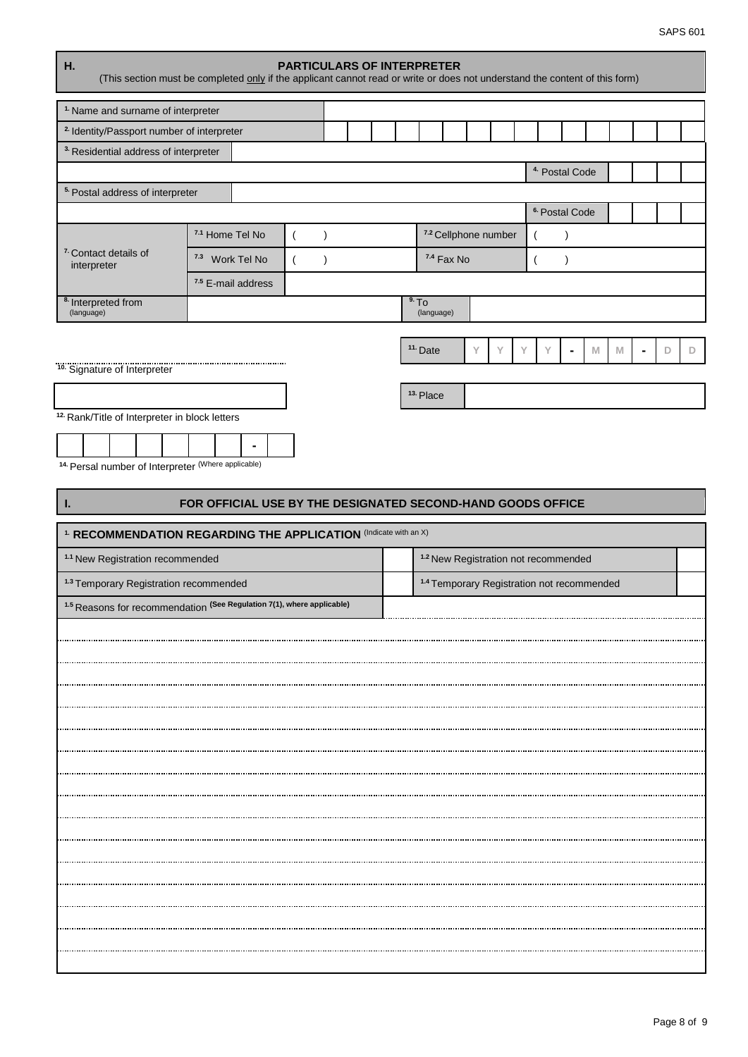| <sup>1.</sup> Name and surname of interpreter    |                                                                                                                                                                                                                                                                                                                                                                                                                                                                                                                                                                                                                                                                                                                                                                                                                                                                                                                                                                                                                                                                                                                                                                                                                                                                          |  |  |  |  |  |  |  |  |
|--------------------------------------------------|--------------------------------------------------------------------------------------------------------------------------------------------------------------------------------------------------------------------------------------------------------------------------------------------------------------------------------------------------------------------------------------------------------------------------------------------------------------------------------------------------------------------------------------------------------------------------------------------------------------------------------------------------------------------------------------------------------------------------------------------------------------------------------------------------------------------------------------------------------------------------------------------------------------------------------------------------------------------------------------------------------------------------------------------------------------------------------------------------------------------------------------------------------------------------------------------------------------------------------------------------------------------------|--|--|--|--|--|--|--|--|
|                                                  |                                                                                                                                                                                                                                                                                                                                                                                                                                                                                                                                                                                                                                                                                                                                                                                                                                                                                                                                                                                                                                                                                                                                                                                                                                                                          |  |  |  |  |  |  |  |  |
| <sup>3.</sup> Residential address of interpreter |                                                                                                                                                                                                                                                                                                                                                                                                                                                                                                                                                                                                                                                                                                                                                                                                                                                                                                                                                                                                                                                                                                                                                                                                                                                                          |  |  |  |  |  |  |  |  |
|                                                  |                                                                                                                                                                                                                                                                                                                                                                                                                                                                                                                                                                                                                                                                                                                                                                                                                                                                                                                                                                                                                                                                                                                                                                                                                                                                          |  |  |  |  |  |  |  |  |
| <sup>5.</sup> Postal address of interpreter      | <b>PARTICULARS OF INTERPRETER</b><br>(This section must be completed only if the applicant cannot read or write or does not understand the content of this form)<br><sup>2.</sup> Identity/Passport number of interpreter<br><sup>4</sup> Postal Code<br><sup>6.</sup> Postal Code<br>7.1 Home Tel No<br>7.2 Cellphone number<br>$\overline{(}$<br>$\lambda$<br>$\lambda$<br>$\overline{ }$<br>7.3 Work Tel No<br>7.4 Fax No<br>$\left($<br>$\overline{(}$<br>$\mathcal{E}$<br>$\lambda$<br>7.5 E-mail address<br>9.70<br>(language)<br><sup>11.</sup> Date<br>Y<br>Y<br>Υ<br>M<br>Y<br>M<br>D<br>$\blacksquare$<br>$\blacksquare$<br>10. Signature of Interpreter<br><sup>10.</sup> Signature of Interpreter<br><sup>13.</sup> Place<br><sup>12.</sup> Rank/Title of Interpreter in block letters<br><sup>14.</sup> Persal number of Interpreter (Where applicable)<br>FOR OFFICIAL USE BY THE DESIGNATED SECOND-HAND GOODS OFFICE<br><sup>1.</sup> RECOMMENDATION REGARDING THE APPLICATION (Indicate with an X)<br><sup>1.2</sup> New Registration not recommended<br><sup>1.3</sup> Temporary Registration recommended<br><sup>1.4</sup> Temporary Registration not recommended<br><sup>1.5</sup> Reasons for recommendation (See Regulation 7(1), where applicable) |  |  |  |  |  |  |  |  |
|                                                  |                                                                                                                                                                                                                                                                                                                                                                                                                                                                                                                                                                                                                                                                                                                                                                                                                                                                                                                                                                                                                                                                                                                                                                                                                                                                          |  |  |  |  |  |  |  |  |
|                                                  |                                                                                                                                                                                                                                                                                                                                                                                                                                                                                                                                                                                                                                                                                                                                                                                                                                                                                                                                                                                                                                                                                                                                                                                                                                                                          |  |  |  |  |  |  |  |  |
| <sup>7</sup> Contact details of<br>interpreter   |                                                                                                                                                                                                                                                                                                                                                                                                                                                                                                                                                                                                                                                                                                                                                                                                                                                                                                                                                                                                                                                                                                                                                                                                                                                                          |  |  |  |  |  |  |  |  |
|                                                  |                                                                                                                                                                                                                                                                                                                                                                                                                                                                                                                                                                                                                                                                                                                                                                                                                                                                                                                                                                                                                                                                                                                                                                                                                                                                          |  |  |  |  |  |  |  |  |
| <sup>8.</sup> Interpreted from<br>(language)     |                                                                                                                                                                                                                                                                                                                                                                                                                                                                                                                                                                                                                                                                                                                                                                                                                                                                                                                                                                                                                                                                                                                                                                                                                                                                          |  |  |  |  |  |  |  |  |
|                                                  |                                                                                                                                                                                                                                                                                                                                                                                                                                                                                                                                                                                                                                                                                                                                                                                                                                                                                                                                                                                                                                                                                                                                                                                                                                                                          |  |  |  |  |  |  |  |  |
|                                                  |                                                                                                                                                                                                                                                                                                                                                                                                                                                                                                                                                                                                                                                                                                                                                                                                                                                                                                                                                                                                                                                                                                                                                                                                                                                                          |  |  |  |  |  |  |  |  |
|                                                  |                                                                                                                                                                                                                                                                                                                                                                                                                                                                                                                                                                                                                                                                                                                                                                                                                                                                                                                                                                                                                                                                                                                                                                                                                                                                          |  |  |  |  |  |  |  |  |
|                                                  |                                                                                                                                                                                                                                                                                                                                                                                                                                                                                                                                                                                                                                                                                                                                                                                                                                                                                                                                                                                                                                                                                                                                                                                                                                                                          |  |  |  |  |  |  |  |  |
| L.                                               |                                                                                                                                                                                                                                                                                                                                                                                                                                                                                                                                                                                                                                                                                                                                                                                                                                                                                                                                                                                                                                                                                                                                                                                                                                                                          |  |  |  |  |  |  |  |  |
|                                                  |                                                                                                                                                                                                                                                                                                                                                                                                                                                                                                                                                                                                                                                                                                                                                                                                                                                                                                                                                                                                                                                                                                                                                                                                                                                                          |  |  |  |  |  |  |  |  |
| <sup>1.1</sup> New Registration recommended      |                                                                                                                                                                                                                                                                                                                                                                                                                                                                                                                                                                                                                                                                                                                                                                                                                                                                                                                                                                                                                                                                                                                                                                                                                                                                          |  |  |  |  |  |  |  |  |
|                                                  |                                                                                                                                                                                                                                                                                                                                                                                                                                                                                                                                                                                                                                                                                                                                                                                                                                                                                                                                                                                                                                                                                                                                                                                                                                                                          |  |  |  |  |  |  |  |  |
|                                                  |                                                                                                                                                                                                                                                                                                                                                                                                                                                                                                                                                                                                                                                                                                                                                                                                                                                                                                                                                                                                                                                                                                                                                                                                                                                                          |  |  |  |  |  |  |  |  |
|                                                  |                                                                                                                                                                                                                                                                                                                                                                                                                                                                                                                                                                                                                                                                                                                                                                                                                                                                                                                                                                                                                                                                                                                                                                                                                                                                          |  |  |  |  |  |  |  |  |
|                                                  |                                                                                                                                                                                                                                                                                                                                                                                                                                                                                                                                                                                                                                                                                                                                                                                                                                                                                                                                                                                                                                                                                                                                                                                                                                                                          |  |  |  |  |  |  |  |  |
|                                                  |                                                                                                                                                                                                                                                                                                                                                                                                                                                                                                                                                                                                                                                                                                                                                                                                                                                                                                                                                                                                                                                                                                                                                                                                                                                                          |  |  |  |  |  |  |  |  |
|                                                  |                                                                                                                                                                                                                                                                                                                                                                                                                                                                                                                                                                                                                                                                                                                                                                                                                                                                                                                                                                                                                                                                                                                                                                                                                                                                          |  |  |  |  |  |  |  |  |
|                                                  |                                                                                                                                                                                                                                                                                                                                                                                                                                                                                                                                                                                                                                                                                                                                                                                                                                                                                                                                                                                                                                                                                                                                                                                                                                                                          |  |  |  |  |  |  |  |  |
|                                                  |                                                                                                                                                                                                                                                                                                                                                                                                                                                                                                                                                                                                                                                                                                                                                                                                                                                                                                                                                                                                                                                                                                                                                                                                                                                                          |  |  |  |  |  |  |  |  |
|                                                  |                                                                                                                                                                                                                                                                                                                                                                                                                                                                                                                                                                                                                                                                                                                                                                                                                                                                                                                                                                                                                                                                                                                                                                                                                                                                          |  |  |  |  |  |  |  |  |
|                                                  |                                                                                                                                                                                                                                                                                                                                                                                                                                                                                                                                                                                                                                                                                                                                                                                                                                                                                                                                                                                                                                                                                                                                                                                                                                                                          |  |  |  |  |  |  |  |  |
|                                                  |                                                                                                                                                                                                                                                                                                                                                                                                                                                                                                                                                                                                                                                                                                                                                                                                                                                                                                                                                                                                                                                                                                                                                                                                                                                                          |  |  |  |  |  |  |  |  |
|                                                  |                                                                                                                                                                                                                                                                                                                                                                                                                                                                                                                                                                                                                                                                                                                                                                                                                                                                                                                                                                                                                                                                                                                                                                                                                                                                          |  |  |  |  |  |  |  |  |
|                                                  |                                                                                                                                                                                                                                                                                                                                                                                                                                                                                                                                                                                                                                                                                                                                                                                                                                                                                                                                                                                                                                                                                                                                                                                                                                                                          |  |  |  |  |  |  |  |  |
|                                                  |                                                                                                                                                                                                                                                                                                                                                                                                                                                                                                                                                                                                                                                                                                                                                                                                                                                                                                                                                                                                                                                                                                                                                                                                                                                                          |  |  |  |  |  |  |  |  |